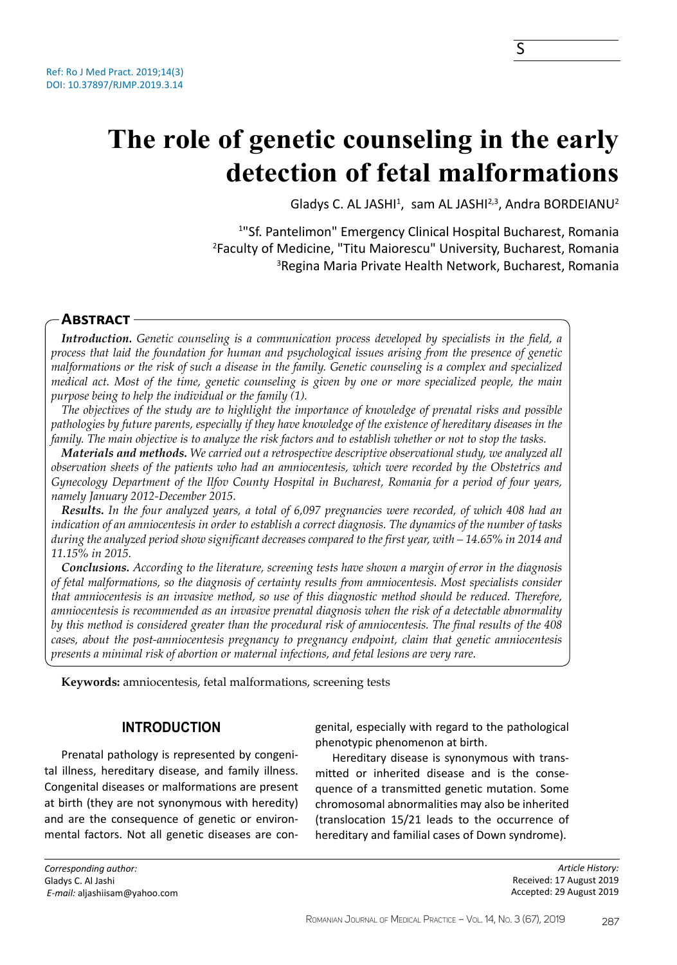# **The role of genetic counseling in the early detection of fetal malformations**

Gladys C. AL JASHI<sup>1</sup>, Isam AL JASHI<sup>2,3</sup>, Andra BORDEIANU<sup>2</sup>

1 "Sf. Pantelimon" Emergency Clinical Hospital Bucharest, Romania 2 Faculty of Medicine, "Titu Maiorescu" University, Bucharest, Romania 3 Regina Maria Private Health Network, Bucharest, Romania

# **Abstract**

*Introduction. Genetic counseling is a communication process developed by specialists in the field, a process that laid the foundation for human and psychological issues arising from the presence of genetic malformations or the risk of such a disease in the family. Genetic counseling is a complex and specialized medical act. Most of the time, genetic counseling is given by one or more specialized people, the main purpose being to help the individual or the family (1).*

*The objectives of the study are to highlight the importance of knowledge of prenatal risks and possible pathologies by future parents, especially if they have knowledge of the existence of hereditary diseases in the family. The main objective is to analyze the risk factors and to establish whether or not to stop the tasks.*

*Materials and methods. We carried out a retrospective descriptive observational study, we analyzed all observation sheets of the patients who had an amniocentesis, which were recorded by the Obstetrics and Gynecology Department of the Ilfov County Hospital in Bucharest, Romania for a period of four years, namely January 2012-December 2015.*

*Results. In the four analyzed years, a total of 6,097 pregnancies were recorded, of which 408 had an indication of an amniocentesis in order to establish a correct diagnosis. The dynamics of the number of tasks during the analyzed period show significant decreases compared to the first year, with – 14.65% in 2014 and 11.15% in 2015.*

*Conclusions. According to the literature, screening tests have shown a margin of error in the diagnosis of fetal malformations, so the diagnosis of certainty results from amniocentesis. Most specialists consider that amniocentesis is an invasive method, so use of this diagnostic method should be reduced. Therefore, amniocentesis is recommended as an invasive prenatal diagnosis when the risk of a detectable abnormality by this method is considered greater than the procedural risk of amniocentesis. The final results of the 408 cases, about the post-amniocentesis pregnancy to pregnancy endpoint, claim that genetic amniocentesis presents a minimal risk of abortion or maternal infections, and fetal lesions are very rare.*

**Keywords:** amniocentesis, fetal malformations, screening tests

# **INTRODUCTION**

Prenatal pathology is represented by congenital illness, hereditary disease, and family illness. Congenital diseases or malformations are present at birth (they are not synonymous with heredity) and are the consequence of genetic or environmental factors. Not all genetic diseases are congenital, especially with regard to the pathological phenotypic phenomenon at birth.

Hereditary disease is synonymous with transmitted or inherited disease and is the consequence of a transmitted genetic mutation. Some chromosomal abnormalities may also be inherited (translocation 15/21 leads to the occurrence of hereditary and familial cases of Down syndrome).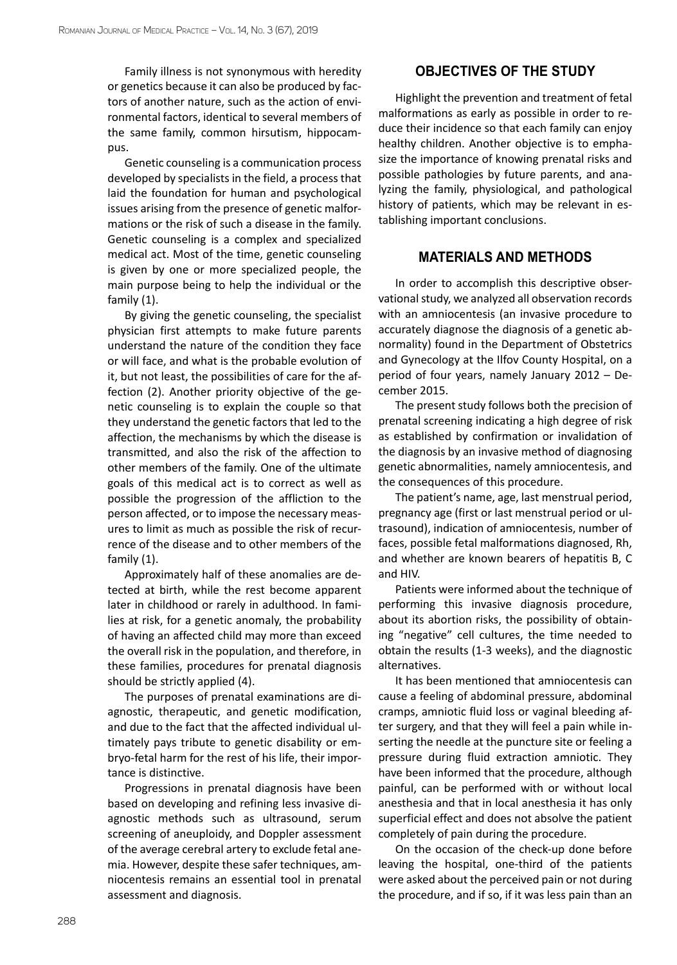Family illness is not synonymous with heredity or genetics because it can also be produced by factors of another nature, such as the action of environmental factors, identical to several members of the same family, common hirsutism, hippocampus.

Genetic counseling is a communication process developed by specialists in the field, a process that laid the foundation for human and psychological issues arising from the presence of genetic malformations or the risk of such a disease in the family. Genetic counseling is a complex and specialized medical act. Most of the time, genetic counseling is given by one or more specialized people, the main purpose being to help the individual or the family (1).

By giving the genetic counseling, the specialist physician first attempts to make future parents understand the nature of the condition they face or will face, and what is the probable evolution of it, but not least, the possibilities of care for the affection (2). Another priority objective of the genetic counseling is to explain the couple so that they understand the genetic factors that led to the affection, the mechanisms by which the disease is transmitted, and also the risk of the affection to other members of the family. One of the ultimate goals of this medical act is to correct as well as possible the progression of the affliction to the person affected, or to impose the necessary measures to limit as much as possible the risk of recurrence of the disease and to other members of the family (1).

Approximately half of these anomalies are detected at birth, while the rest become apparent later in childhood or rarely in adulthood. In families at risk, for a genetic anomaly, the probability of having an affected child may more than exceed the overall risk in the population, and therefore, in these families, procedures for prenatal diagnosis should be strictly applied (4).

The purposes of prenatal examinations are diagnostic, therapeutic, and genetic modification, and due to the fact that the affected individual ultimately pays tribute to genetic disability or embryo-fetal harm for the rest of his life, their importance is distinctive.

Progressions in prenatal diagnosis have been based on developing and refining less invasive diagnostic methods such as ultrasound, serum screening of aneuploidy, and Doppler assessment of the average cerebral artery to exclude fetal anemia. However, despite these safer techniques, amniocentesis remains an essential tool in prenatal assessment and diagnosis.

## **OBJECTIVES OF THE STUDY**

Highlight the prevention and treatment of fetal malformations as early as possible in order to reduce their incidence so that each family can enjoy healthy children. Another objective is to emphasize the importance of knowing prenatal risks and possible pathologies by future parents, and analyzing the family, physiological, and pathological history of patients, which may be relevant in establishing important conclusions.

### **MATERIALS AND METHODS**

In order to accomplish this descriptive observational study, we analyzed all observation records with an amniocentesis (an invasive procedure to accurately diagnose the diagnosis of a genetic abnormality) found in the Department of Obstetrics and Gynecology at the Ilfov County Hospital, on a period of four years, namely January 2012 – December 2015.

The present study follows both the precision of prenatal screening indicating a high degree of risk as established by confirmation or invalidation of the diagnosis by an invasive method of diagnosing genetic abnormalities, namely amniocentesis, and the consequences of this procedure.

The patient's name, age, last menstrual period, pregnancy age (first or last menstrual period or ultrasound), indication of amniocentesis, number of faces, possible fetal malformations diagnosed, Rh, and whether are known bearers of hepatitis B, C and HIV.

Patients were informed about the technique of performing this invasive diagnosis procedure, about its abortion risks, the possibility of obtaining "negative" cell cultures, the time needed to obtain the results (1-3 weeks), and the diagnostic alternatives.

It has been mentioned that amniocentesis can cause a feeling of abdominal pressure, abdominal cramps, amniotic fluid loss or vaginal bleeding after surgery, and that they will feel a pain while inserting the needle at the puncture site or feeling a pressure during fluid extraction amniotic. They have been informed that the procedure, although painful, can be performed with or without local anesthesia and that in local anesthesia it has only superficial effect and does not absolve the patient completely of pain during the procedure.

On the occasion of the check-up done before leaving the hospital, one-third of the patients were asked about the perceived pain or not during the procedure, and if so, if it was less pain than an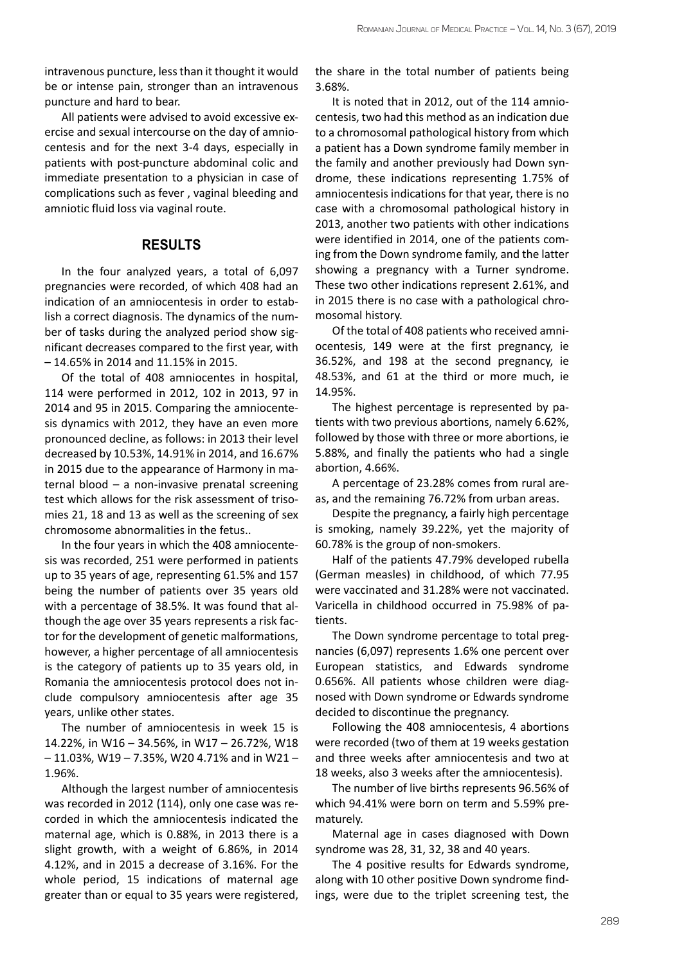intravenous puncture, less than it thought it would be or intense pain, stronger than an intravenous puncture and hard to bear.

All patients were advised to avoid excessive exercise and sexual intercourse on the day of amniocentesis and for the next 3-4 days, especially in patients with post-puncture abdominal colic and immediate presentation to a physician in case of complications such as fever , vaginal bleeding and amniotic fluid loss via vaginal route.

#### **RESULTS**

In the four analyzed years, a total of 6,097 pregnancies were recorded, of which 408 had an indication of an amniocentesis in order to establish a correct diagnosis. The dynamics of the number of tasks during the analyzed period show significant decreases compared to the first year, with – 14.65% in 2014 and 11.15% in 2015.

Of the total of 408 amniocentes in hospital, 114 were performed in 2012, 102 in 2013, 97 in 2014 and 95 in 2015. Comparing the amniocentesis dynamics with 2012, they have an even more pronounced decline, as follows: in 2013 their level decreased by 10.53%, 14.91% in 2014, and 16.67% in 2015 due to the appearance of Harmony in maternal blood – a non-invasive prenatal screening test which allows for the risk assessment of trisomies 21, 18 and 13 as well as the screening of sex chromosome abnormalities in the fetus..

In the four years in which the 408 amniocentesis was recorded, 251 were performed in patients up to 35 years of age, representing 61.5% and 157 being the number of patients over 35 years old with a percentage of 38.5%. It was found that although the age over 35 years represents a risk factor for the development of genetic malformations, however, a higher percentage of all amniocentesis is the category of patients up to 35 years old, in Romania the amniocentesis protocol does not include compulsory amniocentesis after age 35 years, unlike other states.

The number of amniocentesis in week 15 is 14.22%, in W16 – 34.56%, in W17 – 26.72%, W18 – 11.03%, W19 – 7.35%, W20 4.71% and in W21 – 1.96%.

Although the largest number of amniocentesis was recorded in 2012 (114), only one case was recorded in which the amniocentesis indicated the maternal age, which is 0.88%, in 2013 there is a slight growth, with a weight of 6.86%, in 2014 4.12%, and in 2015 a decrease of 3.16%. For the whole period, 15 indications of maternal age greater than or equal to 35 years were registered, the share in the total number of patients being 3.68%.

It is noted that in 2012, out of the 114 amniocentesis, two had this method as an indication due to a chromosomal pathological history from which a patient has a Down syndrome family member in the family and another previously had Down syndrome, these indications representing 1.75% of amniocentesis indications for that year, there is no case with a chromosomal pathological history in 2013, another two patients with other indications were identified in 2014, one of the patients coming from the Down syndrome family, and the latter showing a pregnancy with a Turner syndrome. These two other indications represent 2.61%, and in 2015 there is no case with a pathological chromosomal history.

Of the total of 408 patients who received amniocentesis, 149 were at the first pregnancy, ie 36.52%, and 198 at the second pregnancy, ie 48.53%, and 61 at the third or more much, ie 14.95%.

The highest percentage is represented by patients with two previous abortions, namely 6.62%, followed by those with three or more abortions, ie 5.88%, and finally the patients who had a single abortion, 4.66%.

A percentage of 23.28% comes from rural areas, and the remaining 76.72% from urban areas.

Despite the pregnancy, a fairly high percentage is smoking, namely 39.22%, yet the majority of 60.78% is the group of non-smokers.

Half of the patients 47.79% developed rubella (German measles) in childhood, of which 77.95 were vaccinated and 31.28% were not vaccinated. Varicella in childhood occurred in 75.98% of patients.

The Down syndrome percentage to total pregnancies (6,097) represents 1.6% one percent over European statistics, and Edwards syndrome 0.656%. All patients whose children were diagnosed with Down syndrome or Edwards syndrome decided to discontinue the pregnancy.

Following the 408 amniocentesis, 4 abortions were recorded (two of them at 19 weeks gestation and three weeks after amniocentesis and two at 18 weeks, also 3 weeks after the amniocentesis).

The number of live births represents 96.56% of which 94.41% were born on term and 5.59% prematurely.

Maternal age in cases diagnosed with Down syndrome was 28, 31, 32, 38 and 40 years.

The 4 positive results for Edwards syndrome, along with 10 other positive Down syndrome findings, were due to the triplet screening test, the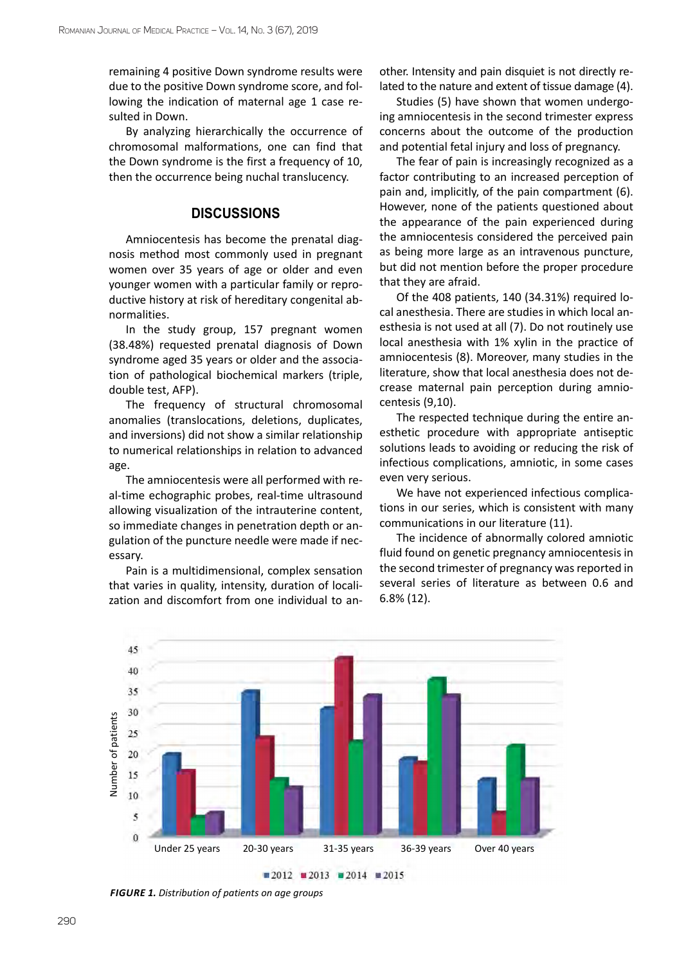remaining 4 positive Down syndrome results were due to the positive Down syndrome score, and following the indication of maternal age 1 case resulted in Down.

By analyzing hierarchically the occurrence of chromosomal malformations, one can find that the Down syndrome is the first a frequency of 10, then the occurrence being nuchal translucency.

### **DISCUSSIONS**

Amniocentesis has become the prenatal diagnosis method most commonly used in pregnant women over 35 years of age or older and even younger women with a particular family or reproductive history at risk of hereditary congenital abnormalities.

In the study group, 157 pregnant women (38.48%) requested prenatal diagnosis of Down syndrome aged 35 years or older and the association of pathological biochemical markers (triple, double test, AFP).

The frequency of structural chromosomal anomalies (translocations, deletions, duplicates, and inversions) did not show a similar relationship to numerical relationships in relation to advanced age.

The amniocentesis were all performed with real-time echographic probes, real-time ultrasound allowing visualization of the intrauterine content, so immediate changes in penetration depth or angulation of the puncture needle were made if necessary.

Pain is a multidimensional, complex sensation that varies in quality, intensity, duration of localization and discomfort from one individual to another. Intensity and pain disquiet is not directly related to the nature and extent of tissue damage (4).

Studies (5) have shown that women undergoing amniocentesis in the second trimester express concerns about the outcome of the production and potential fetal injury and loss of pregnancy.

The fear of pain is increasingly recognized as a factor contributing to an increased perception of pain and, implicitly, of the pain compartment (6). However, none of the patients questioned about the appearance of the pain experienced during the amniocentesis considered the perceived pain as being more large as an intravenous puncture, but did not mention before the proper procedure that they are afraid.

Of the 408 patients, 140 (34.31%) required local anesthesia. There are studies in which local anesthesia is not used at all (7). Do not routinely use local anesthesia with 1% xylin in the practice of amniocentesis (8). Moreover, many studies in the literature, show that local anesthesia does not decrease maternal pain perception during amniocentesis (9,10).

The respected technique during the entire anesthetic procedure with appropriate antiseptic solutions leads to avoiding or reducing the risk of infectious complications, amniotic, in some cases even very serious.

We have not experienced infectious complications in our series, which is consistent with many communications in our literature (11).

The incidence of abnormally colored amniotic fluid found on genetic pregnancy amniocentesis in the second trimester of pregnancy was reported in several series of literature as between 0.6 and 6.8% (12).

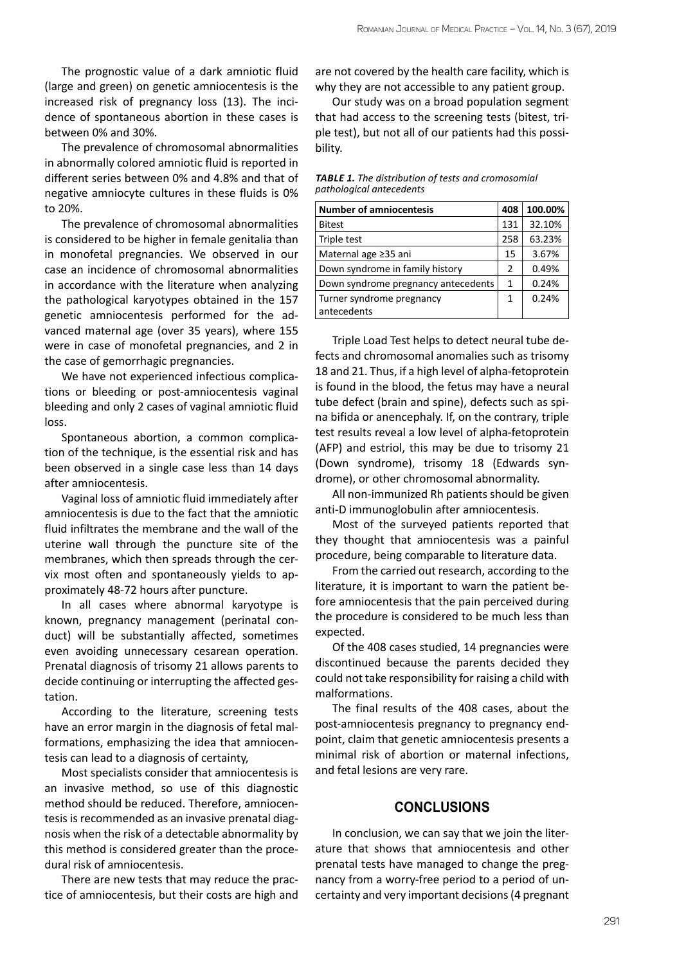The prognostic value of a dark amniotic fluid (large and green) on genetic amniocentesis is the increased risk of pregnancy loss (13). The incidence of spontaneous abortion in these cases is between 0% and 30%.

The prevalence of chromosomal abnormalities in abnormally colored amniotic fluid is reported in different series between 0% and 4.8% and that of negative amniocyte cultures in these fluids is 0% to 20%.

The prevalence of chromosomal abnormalities is considered to be higher in female genitalia than in monofetal pregnancies. We observed in our case an incidence of chromosomal abnormalities in accordance with the literature when analyzing the pathological karyotypes obtained in the 157 genetic amniocentesis performed for the advanced maternal age (over 35 years), where 155 were in case of monofetal pregnancies, and 2 in the case of gemorrhagic pregnancies.

We have not experienced infectious complications or bleeding or post-amniocentesis vaginal bleeding and only 2 cases of vaginal amniotic fluid loss.

Spontaneous abortion, a common complication of the technique, is the essential risk and has been observed in a single case less than 14 days after amniocentesis.

Vaginal loss of amniotic fluid immediately after amniocentesis is due to the fact that the amniotic fluid infiltrates the membrane and the wall of the uterine wall through the puncture site of the membranes, which then spreads through the cervix most often and spontaneously yields to approximately 48-72 hours after puncture.

In all cases where abnormal karyotype is known, pregnancy management (perinatal conduct) will be substantially affected, sometimes even avoiding unnecessary cesarean operation. Prenatal diagnosis of trisomy 21 allows parents to decide continuing or interrupting the affected gestation.

According to the literature, screening tests have an error margin in the diagnosis of fetal malformations, emphasizing the idea that amniocentesis can lead to a diagnosis of certainty,

Most specialists consider that amniocentesis is an invasive method, so use of this diagnostic method should be reduced. Therefore, amniocentesis is recommended as an invasive prenatal diagnosis when the risk of a detectable abnormality by this method is considered greater than the procedural risk of amniocentesis.

There are new tests that may reduce the practice of amniocentesis, but their costs are high and

are not covered by the health care facility, which is why they are not accessible to any patient group.

Our study was on a broad population segment that had access to the screening tests (bitest, triple test), but not all of our patients had this possibility.

*Table 1. The distribution of tests and cromosomial pathological antecedents*

| <b>Number of amniocentesis</b>      | 408           | 100.00% |
|-------------------------------------|---------------|---------|
| <b>Bitest</b>                       | 131           | 32.10%  |
| Triple test                         | 258           | 63.23%  |
| Maternal age ≥35 ani                | 15            | 3.67%   |
| Down syndrome in family history     | $\mathcal{P}$ | 0.49%   |
| Down syndrome pregnancy antecedents | 1             | 0.24%   |
| Turner syndrome pregnancy           | 1             | 0.24%   |
| antecedents                         |               |         |

Triple Load Test helps to detect neural tube defects and chromosomal anomalies such as trisomy 18 and 21. Thus, if a high level of alpha-fetoprotein is found in the blood, the fetus may have a neural tube defect (brain and spine), defects such as spina bifida or anencephaly. If, on the contrary, triple test results reveal a low level of alpha-fetoprotein (AFP) and estriol, this may be due to trisomy 21 (Down syndrome), trisomy 18 (Edwards syndrome), or other chromosomal abnormality.

All non-immunized Rh patients should be given anti-D immunoglobulin after amniocentesis.

Most of the surveyed patients reported that they thought that amniocentesis was a painful procedure, being comparable to literature data.

From the carried out research, according to the literature, it is important to warn the patient before amniocentesis that the pain perceived during the procedure is considered to be much less than expected.

Of the 408 cases studied, 14 pregnancies were discontinued because the parents decided they could not take responsibility for raising a child with malformations.

The final results of the 408 cases, about the post-amniocentesis pregnancy to pregnancy endpoint, claim that genetic amniocentesis presents a minimal risk of abortion or maternal infections, and fetal lesions are very rare.

#### **CONCLUSIONS**

In conclusion, we can say that we join the literature that shows that amniocentesis and other prenatal tests have managed to change the pregnancy from a worry-free period to a period of uncertainty and very important decisions (4 pregnant